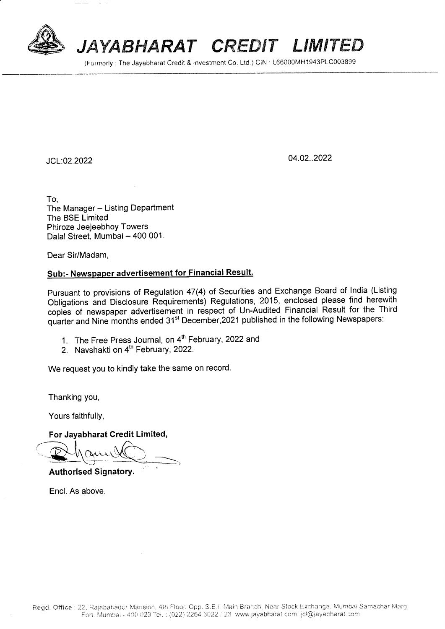

## JAYABHARAT CREDIT LIMITED

(Formerly: The Jayabharat Credit & Investment Co. Ltd.) CIN: L66000MH1943PLC003899

JCL:02.2022

04.02..2022

To. The Manager - Listing Department The BSE Limited Phiroze Jeejeebhoy Towers Dalal Street, Mumbai - 400 001.

Dear Sir/Madam,

## Sub:- Newspaper advertisement for Financial Result.

Pursuant to provisions of Regulation 47(4) of Securities and Exchange Board of India (Listing Obligations and Disclosure Requirements) Regulations, 2015, enclosed please find herewith copies of newspaper advertisement in respect of Un-Audited Financial Result for the Third quarter and Nine months ended 31<sup>st</sup> December, 2021 published in the following Newspapers:

- 1. The Free Press Journal, on 4<sup>th</sup> February, 2022 and
- 2. Navshakti on 4<sup>th</sup> February, 2022.

We request you to kindly take the same on record.

Thanking you,

Yours faithfully,

For Jayabharat Credit Limited,

**Authorised Signatory.** 

Encl. As above.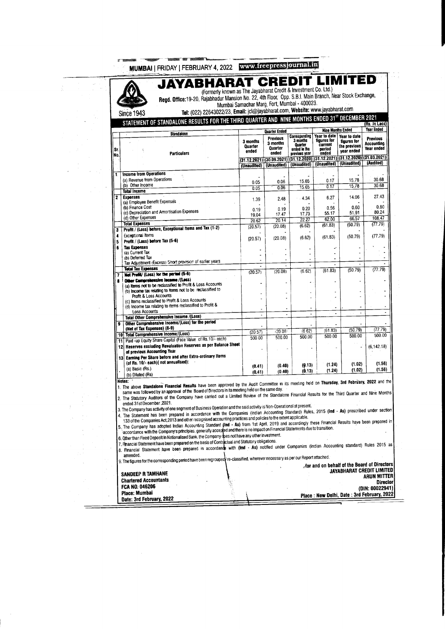|              | MUMBAI   FRIDAY   FEBRUARY 4, 2022   www.freepressjournal.in                                                                                                                                                                                                                                                                                                                                                                                                                                                                                                                                                                                                                                                                             |                                                                                                                                                                                                                |                              |                                                 |                                                                       |                                                                  |                                                                                              |                                             |
|--------------|------------------------------------------------------------------------------------------------------------------------------------------------------------------------------------------------------------------------------------------------------------------------------------------------------------------------------------------------------------------------------------------------------------------------------------------------------------------------------------------------------------------------------------------------------------------------------------------------------------------------------------------------------------------------------------------------------------------------------------------|----------------------------------------------------------------------------------------------------------------------------------------------------------------------------------------------------------------|------------------------------|-------------------------------------------------|-----------------------------------------------------------------------|------------------------------------------------------------------|----------------------------------------------------------------------------------------------|---------------------------------------------|
|              |                                                                                                                                                                                                                                                                                                                                                                                                                                                                                                                                                                                                                                                                                                                                          | <b>JAYABHARAT CREDIT LIMITED</b><br>(Formerly known as The Jayabharat Credit & Investment Co. Ltd.)<br>Regd. Office:19-20, Rajabhadur Mansion No. 22, 4th Floor, Opp. S.B.I. Main Branch, Near Stock Exchange, |                              | Mumbai Samachar Marg, Fort, Mumbai - 400023.    |                                                                       |                                                                  |                                                                                              |                                             |
|              | <b>Since 1943</b>                                                                                                                                                                                                                                                                                                                                                                                                                                                                                                                                                                                                                                                                                                                        | Tel: (022) 22643022/23, Email: jcl@jayabharat.com, Website: www.jayabharat.com                                                                                                                                 |                              |                                                 |                                                                       |                                                                  |                                                                                              |                                             |
|              | STATEMENT OF STANDALONE RESULTS FOR THE THIRD QUARTER AND NINE MONTHS ENDED 31 <sup>st</sup> DECEMBER 2021                                                                                                                                                                                                                                                                                                                                                                                                                                                                                                                                                                                                                               |                                                                                                                                                                                                                |                              |                                                 |                                                                       |                                                                  |                                                                                              | (Rs. In Lacs)                               |
|              | <b>Standalone</b>                                                                                                                                                                                                                                                                                                                                                                                                                                                                                                                                                                                                                                                                                                                        |                                                                                                                                                                                                                |                              | <b>Quarter Ended</b>                            |                                                                       | <b>Nine Months Ended</b>                                         |                                                                                              | Year Ended                                  |
| Sr.<br>No.   | Particulars                                                                                                                                                                                                                                                                                                                                                                                                                                                                                                                                                                                                                                                                                                                              |                                                                                                                                                                                                                | 3 months<br>Quarter<br>ended | <b>Previous</b><br>3 months<br>Quarter<br>ended | Corresponding<br>3 months<br>Ouarter<br>ended in the<br>previous year | Year to date<br>figures for<br><b>CULLERI</b><br>period<br>ended | Year to date<br>flaures for<br>the previous<br>year ended                                    | <b>Previous</b><br>Accounting<br>Year ended |
|              |                                                                                                                                                                                                                                                                                                                                                                                                                                                                                                                                                                                                                                                                                                                                          |                                                                                                                                                                                                                | (Unaudited)                  | (Unaudited)                                     |                                                                       | (Unaudited) (Unaudited)                                          | (31.12.2021) (30.09.2021) (31.12.2020) (31.12.2021) (31.12.2020) (31.03.2021)<br>(Unaudited) | (Audited)                                   |
|              | <b>Income from Operations</b>                                                                                                                                                                                                                                                                                                                                                                                                                                                                                                                                                                                                                                                                                                            |                                                                                                                                                                                                                |                              |                                                 |                                                                       |                                                                  |                                                                                              |                                             |
|              | (a) Revenue from Operations                                                                                                                                                                                                                                                                                                                                                                                                                                                                                                                                                                                                                                                                                                              |                                                                                                                                                                                                                |                              | 0.06                                            | 15.65                                                                 | 0.17                                                             | 15.78                                                                                        | 30.68                                       |
|              | (b) Other Income                                                                                                                                                                                                                                                                                                                                                                                                                                                                                                                                                                                                                                                                                                                         |                                                                                                                                                                                                                | 0.05<br>0.05                 | 0.06                                            | 15.65                                                                 | 0.17                                                             | 15.78                                                                                        | 30.68                                       |
|              | <b>Total Income</b>                                                                                                                                                                                                                                                                                                                                                                                                                                                                                                                                                                                                                                                                                                                      |                                                                                                                                                                                                                |                              |                                                 |                                                                       |                                                                  |                                                                                              |                                             |
| $\mathbf{z}$ | <b>Expenses</b><br>(a) Employee Benefit Expenses                                                                                                                                                                                                                                                                                                                                                                                                                                                                                                                                                                                                                                                                                         |                                                                                                                                                                                                                | 1.39                         | 2.48                                            | 4.34                                                                  | 6.27                                                             | 14.06                                                                                        | 27.43                                       |
|              | (b) Finance Cost                                                                                                                                                                                                                                                                                                                                                                                                                                                                                                                                                                                                                                                                                                                         |                                                                                                                                                                                                                | 0.19                         | 0.19                                            | 0.20                                                                  | 0.56                                                             | 0.60                                                                                         | 0.80                                        |
|              | (c) Depreciation and Amortisation Expenses<br>(d) Other Expenses                                                                                                                                                                                                                                                                                                                                                                                                                                                                                                                                                                                                                                                                         |                                                                                                                                                                                                                | 19.04                        | 17.47                                           | 17.73                                                                 | 55.17                                                            | 51.91<br>66.57                                                                               | 80.24<br>108.47                             |
|              | <b>Total Expenses</b>                                                                                                                                                                                                                                                                                                                                                                                                                                                                                                                                                                                                                                                                                                                    |                                                                                                                                                                                                                | 20.62                        | 20.14<br>(20.08)                                | 22.27<br>(6.62)                                                       | 62.00<br>(61.83)                                                 | (50.79)                                                                                      | (77.79)                                     |
| 3            | Profit / (Loss) before, Exceptional Items and Tax (1-2)                                                                                                                                                                                                                                                                                                                                                                                                                                                                                                                                                                                                                                                                                  |                                                                                                                                                                                                                | (20.57)                      |                                                 |                                                                       |                                                                  |                                                                                              |                                             |
| 4            | <b>Exceptional Items</b>                                                                                                                                                                                                                                                                                                                                                                                                                                                                                                                                                                                                                                                                                                                 |                                                                                                                                                                                                                | (20.57)                      | (20.08)                                         | (6.62)                                                                | (61.83)                                                          | (50.79)                                                                                      | (77.79)                                     |
| 5<br>6       | Profit / (Loss) before Tax (5-6)<br><b>Tax Expenses</b>                                                                                                                                                                                                                                                                                                                                                                                                                                                                                                                                                                                                                                                                                  |                                                                                                                                                                                                                |                              |                                                 |                                                                       |                                                                  |                                                                                              |                                             |
|              | (a) Current Tax                                                                                                                                                                                                                                                                                                                                                                                                                                                                                                                                                                                                                                                                                                                          |                                                                                                                                                                                                                |                              |                                                 |                                                                       |                                                                  |                                                                                              |                                             |
|              | (b) Deferred Tax<br>Tax Adjustment (Excess) Short provision of earlier years                                                                                                                                                                                                                                                                                                                                                                                                                                                                                                                                                                                                                                                             |                                                                                                                                                                                                                |                              |                                                 |                                                                       |                                                                  |                                                                                              |                                             |
|              | <b>Total Tax Expenses</b>                                                                                                                                                                                                                                                                                                                                                                                                                                                                                                                                                                                                                                                                                                                |                                                                                                                                                                                                                |                              | $\bullet$                                       | $\overline{\phantom{a}}$                                              |                                                                  |                                                                                              | (77.79)                                     |
| 7            | Net Prefit/ (Loss) for the period (5-6)                                                                                                                                                                                                                                                                                                                                                                                                                                                                                                                                                                                                                                                                                                  |                                                                                                                                                                                                                | (20.57)                      | (20.08)                                         | (6.62)                                                                | (61.83)                                                          | (50.79)                                                                                      |                                             |
|              | Other Comprehensive Income /(Lass)                                                                                                                                                                                                                                                                                                                                                                                                                                                                                                                                                                                                                                                                                                       |                                                                                                                                                                                                                |                              |                                                 |                                                                       |                                                                  |                                                                                              |                                             |
|              | (a) items not to be reclassified to Profit & Loss Accounts<br>(b) income tax relating to items not to be reclassified to                                                                                                                                                                                                                                                                                                                                                                                                                                                                                                                                                                                                                 |                                                                                                                                                                                                                |                              |                                                 |                                                                       |                                                                  |                                                                                              |                                             |
|              | Profit & Loss Accounts                                                                                                                                                                                                                                                                                                                                                                                                                                                                                                                                                                                                                                                                                                                   |                                                                                                                                                                                                                |                              |                                                 |                                                                       |                                                                  |                                                                                              |                                             |
|              | (c) Items reclassified to Profit & Loss Accounts                                                                                                                                                                                                                                                                                                                                                                                                                                                                                                                                                                                                                                                                                         |                                                                                                                                                                                                                |                              |                                                 |                                                                       |                                                                  |                                                                                              |                                             |
|              | (d) Income tax relating to items reclassified to Profit &<br><b>Loss Accounts</b>                                                                                                                                                                                                                                                                                                                                                                                                                                                                                                                                                                                                                                                        |                                                                                                                                                                                                                |                              |                                                 |                                                                       | ä,                                                               | $\blacksquare$                                                                               | ÷,                                          |
|              | Total Other Comprehensive Income /(Loss)                                                                                                                                                                                                                                                                                                                                                                                                                                                                                                                                                                                                                                                                                                 |                                                                                                                                                                                                                | $\tilde{\phantom{a}}$        | $\overline{a}$                                  | ä,                                                                    |                                                                  |                                                                                              |                                             |
| 9            | Other Comprehensive Income/(Loss) for the period                                                                                                                                                                                                                                                                                                                                                                                                                                                                                                                                                                                                                                                                                         |                                                                                                                                                                                                                |                              |                                                 |                                                                       |                                                                  |                                                                                              |                                             |
|              | (Net of Tax Expenses) (8-9)<br>10 Total Comprehensive Income/(Loss)                                                                                                                                                                                                                                                                                                                                                                                                                                                                                                                                                                                                                                                                      |                                                                                                                                                                                                                | (20.57)                      | (20.08)                                         | (662)                                                                 | (61.83)                                                          | (50.79)                                                                                      | (77.79)                                     |
|              | Paid -up Equity Share Capital (Face Value of Rs. 10/- each)<br>11                                                                                                                                                                                                                                                                                                                                                                                                                                                                                                                                                                                                                                                                        |                                                                                                                                                                                                                | 500.00                       | 500.00                                          | 500.00                                                                | 500.00                                                           | 500.00                                                                                       | 500.00                                      |
|              | Reserves excluding Revaluation Reserves as per Balance Sheet<br>12 i                                                                                                                                                                                                                                                                                                                                                                                                                                                                                                                                                                                                                                                                     |                                                                                                                                                                                                                |                              |                                                 |                                                                       |                                                                  |                                                                                              | (6, 142.18)                                 |
|              | of previous Accounting Year                                                                                                                                                                                                                                                                                                                                                                                                                                                                                                                                                                                                                                                                                                              |                                                                                                                                                                                                                |                              |                                                 |                                                                       |                                                                  |                                                                                              |                                             |
|              | 13 Earning Per Share before and after Extra-ordinary Items<br>(of Rs. 10/- each) (not annualised):                                                                                                                                                                                                                                                                                                                                                                                                                                                                                                                                                                                                                                       |                                                                                                                                                                                                                |                              |                                                 |                                                                       |                                                                  |                                                                                              |                                             |
|              |                                                                                                                                                                                                                                                                                                                                                                                                                                                                                                                                                                                                                                                                                                                                          |                                                                                                                                                                                                                | (0.41)                       | (0.40)                                          | (0.13)                                                                | (1.24)                                                           | (1.02)                                                                                       | (1.56)<br>(1.56)                            |
|              | (b) Diluted (Rs)                                                                                                                                                                                                                                                                                                                                                                                                                                                                                                                                                                                                                                                                                                                         |                                                                                                                                                                                                                |                              |                                                 |                                                                       |                                                                  |                                                                                              |                                             |
|              | (a) Basic (Rs.)<br>1. The above Standalone Financial Results have been approved by the Audit Committee in its meeting held on Thursday, 3rd February, 2022 and the<br>same was followed by an approval of the Board of Directors in its meeting held on the same day.<br>2. The Statutory Auditors of the Company have carried out a Limited Review of the Standalone Financial Results for the Third Quarter and Nine Months<br>ended 31st December, 2021.<br>3. The Company has activity of one segment of Business Operation and the said activity is Non-Operational at present.<br>4. The Statement has been prepared in accordance with the Companies (Indian Accounting Standard) Rules, 2015 (Ind - As) prescribed under section |                                                                                                                                                                                                                | (0.41)                       | (0.40)                                          | (0.13)                                                                | (1.24)                                                           | (1.02)                                                                                       |                                             |
|              | 133 of the Companies Act, 2013 and other recognised accounting practices and policies to the extent applicable.<br>5. The Company has adopted Indian Accounting Standard (Ind - As) from 1st April, 2019 and accordingly these Financial Results have been prepared in                                                                                                                                                                                                                                                                                                                                                                                                                                                                   |                                                                                                                                                                                                                |                              |                                                 |                                                                       |                                                                  |                                                                                              |                                             |
|              | accordance with the Company's principles, generally accepted and there is no impact on Financial Statements due to transition.                                                                                                                                                                                                                                                                                                                                                                                                                                                                                                                                                                                                           |                                                                                                                                                                                                                |                              |                                                 |                                                                       |                                                                  |                                                                                              |                                             |
|              | 6. Other than Fixed Deposit in Nationalised Bank. the Company does not have any other investment.                                                                                                                                                                                                                                                                                                                                                                                                                                                                                                                                                                                                                                        |                                                                                                                                                                                                                |                              |                                                 |                                                                       |                                                                  |                                                                                              |                                             |
|              | 7. Financial Statement have been prepared on the basis of Contractual and Statutory obligations.                                                                                                                                                                                                                                                                                                                                                                                                                                                                                                                                                                                                                                         |                                                                                                                                                                                                                |                              |                                                 |                                                                       |                                                                  |                                                                                              |                                             |
|              | 8. Financial Statement have been prepared in accordance with (Ind - As) notified under Companies (Indian Accounting standard) Rules 2015 as                                                                                                                                                                                                                                                                                                                                                                                                                                                                                                                                                                                              |                                                                                                                                                                                                                |                              |                                                 |                                                                       |                                                                  |                                                                                              |                                             |
|              | amended.<br>9. The figures for the corresponding period have been regrouped re-classified, wherever necessary as per our Report attached.                                                                                                                                                                                                                                                                                                                                                                                                                                                                                                                                                                                                |                                                                                                                                                                                                                |                              |                                                 |                                                                       |                                                                  |                                                                                              |                                             |
|              |                                                                                                                                                                                                                                                                                                                                                                                                                                                                                                                                                                                                                                                                                                                                          |                                                                                                                                                                                                                |                              |                                                 |                                                                       |                                                                  |                                                                                              | Aor and on behalf of the Board of Directors |
|              |                                                                                                                                                                                                                                                                                                                                                                                                                                                                                                                                                                                                                                                                                                                                          |                                                                                                                                                                                                                |                              |                                                 |                                                                       |                                                                  |                                                                                              | <b>JAYABHARAT CREDIT LIMITED</b>            |
|              | <b>SANDEEP R TAMHANE</b><br><b>Chartered Accountants</b>                                                                                                                                                                                                                                                                                                                                                                                                                                                                                                                                                                                                                                                                                 |                                                                                                                                                                                                                |                              |                                                 |                                                                       |                                                                  |                                                                                              | <b>ARUN MITTER</b>                          |
|              | FCA NO: 046206                                                                                                                                                                                                                                                                                                                                                                                                                                                                                                                                                                                                                                                                                                                           |                                                                                                                                                                                                                |                              |                                                 |                                                                       |                                                                  |                                                                                              | <b>Director</b>                             |
|              | Place: Mumbai                                                                                                                                                                                                                                                                                                                                                                                                                                                                                                                                                                                                                                                                                                                            |                                                                                                                                                                                                                |                              |                                                 |                                                                       |                                                                  |                                                                                              | (DIN: 00022941)                             |
|              | Date: 3rd February, 2022                                                                                                                                                                                                                                                                                                                                                                                                                                                                                                                                                                                                                                                                                                                 |                                                                                                                                                                                                                |                              |                                                 |                                                                       |                                                                  |                                                                                              | Place: New Deihi, Date: 3rd February, 2022  |

 $\frac{1}{2} \left( \frac{1}{2} \right)$